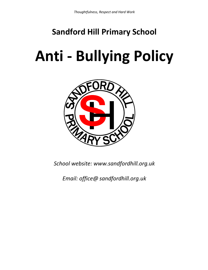# **Sandford Hill Primary School**

# **Anti - Bullying Policy**



*School website: [www.sandfordhill.org.uk](http://www.sandfordhill.org.uk/)*

*Email: office@ sandfordhill.org.uk*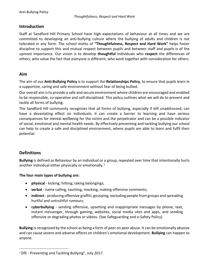# **Introduction**

Staff at Sandford Hill Primary School have high expectations of behaviour at all times and we are committed to developing an anti-bullying culture where the bullying of adults and children is not tolerated in any form. The school motto of **"Thoughtfulness, Respect and Hard Work"** helps foster discipline to support this and mutual respect between pupils and between staff and pupils is of the upmost importance. Our vision is to develop **thoughtful** individuals who **respect** the differences of others; who value the fact that everyone is different; who work together with consideration for others.

### **Aim**

The aim of our **Anti-Bullying Policy** is to support the **Relationships Policy**, to ensure that pupils learn in a supportive, caring and safe environment without fear of being bullied.

Our overall aim is to provide a safe and secure environment where children are encouraged and enabled to be responsible, co-operative and self-disciplined. This policy outlines what we will do to prevent and tackle all forms of bullying.

The Sandford Hill community recognises that all forms of bullying, especially if left unaddressed, can have a devastating effect on individuals; it can create a barrier to learning and have serious consequences for mental wellbeing for the victim and the perpetrator and can be a possible indicator of social, emotional and mental health needs. By effectively preventing and tackling bullying our school can help to create a safe and disciplined environment, where pupils are able to learn and fulfil their potential.

# **Definitions**

**Bullying** is defined as Behaviour by an individual or a group, repeated over time that intentionally hurts another individual either physically or emotionally.<sup>[1](#page-1-0)</sup>

#### **The four main types of bullying are:**

- **physical** kicking; hitting; taking belongings;
- **verbal** name calling, taunting, mocking, making offensive comments;
- **indirect** producing offensive graffiti, gossiping, excluding people from groups and spreading hurtful and untruthful rumours;
- **cyberbullying** sending offensive, upsetting and inappropriate messages by phone, text, instant messenger, through gaming, websites, social media sites and apps, and sending offensive or degrading photos or videos. (See Safeguarding and e-Safety Policy)

**Bullying** is recognised by the school as being a form of peer on peer abuse. It can be emotionally abusive and can cause severe and adverse effects on children's emotional development. **Bullying** can happen to anyone.

<span id="page-1-0"></span><sup>&</sup>lt;sup>1</sup> DfE - Preventing and Tackling Bullying", July 2017.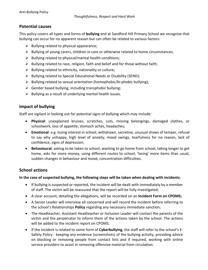# **Potential causes**

This policy covers all types and forms of **bullying** and at Sandford Hill Primary School we recognise that bullying can occur for no apparent reason but can often be related to various factors:

- $\triangleright$  Bullying related to physical appearance;
- $\triangleright$  Bullying of young carers, children in care or otherwise related to home circumstances;
- $\triangleright$  Bullying related to physical/mental health conditions;
- $\triangleright$  Bullying related to race, religion, faith and belief and for those without faith;
- $\triangleright$  Bullying related to ethnicity, nationality or culture;
- $\triangleright$  Bullying related to Special Educational Needs or Disability (SEND);
- $\triangleright$  Bullying related to sexual orientation (homophobic/bi-phobic bullying);
- $\triangleright$  Gender based bullying, including transphobic bullying;
- $\triangleright$  Bullying as a result of underlying mental health issues.

# **Impact of bullying**

Staff are vigilant in looking out for potential signs of bullying which may include:

- **Physical**: unexplained bruises, scratches, cuts, missing belongings, damaged clothes, or schoolwork, loss of appetite, stomach aches, headaches;
- **Emotional**: e.g. losing interest in school, withdrawn, secretive, unusual shows of temper, refusal to say why unhappy, high level of anxiety, mood swings, tearfulness for no reason, lack of confidence, signs of depression;
- **Behavioural**: asking to be taken to school, wanting to go home from school, taking longer to get home, asks for more money, using different routes to school, 'losing' more items than usual, sudden changes in behaviour and mood, concentration difficulties.

# **School actions**

**In the case of suspected bullying, the following steps will be taken when dealing with incidents:**

- If bullying is suspected or reported, the incident will be dealt with immediately by a member of staff. The victim will be reassured that the report will be fully investigated;
- A clear account, detailing the allegations, will be recorded on an **Incident Form on CPOMS;**
- A Senior Leader will interview all concerned and will record the incident before referring to the school's Relationships **Policy** regarding any necessary immediate sanction;
- The Headteacher, Assistant Headteacher or Inclusion Leader will contact the parents of the victim and the perpetrator to inform them of the actions taken by the school. The actions will be added to the incident report on CPOMS.
- If the incident is related to some form of **Cyberbullying**, the staff will refer to the school's E-Safety Policy - keeping any evidence (screenshots) of the bullying activity, providing advice on blocking or removing people from contact lists and if required, working with online service providers to assist in removing offensive material from circulation.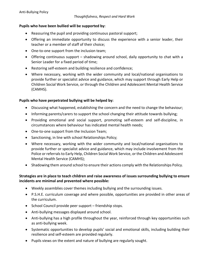#### **Pupils who have been bullied will be supported by:**

- Reassuring the pupil and providing continuous pastoral support;
- Offering an immediate opportunity to discuss the experience with a senior leader, their teacher or a member of staff of their choice;
- One-to-one support from the inclusion team;
- Offering continuous support shadowing around school, daily opportunity to chat with a Senior Leader for a fixed period of time;
- Restoring self-esteem and building resilience and confidence;
- Where necessary, working with the wider community and local/national organisations to provide further or specialist advice and guidance, which may support through Early Help or Children Social Work Service, or through the Children and Adolescent Mental Health Service (CAMHS).

#### **Pupils who have perpetrated bullying will be helped by:**

- Discussing what happened, establishing the concern and the need to change the behaviour;
- Informing parents/carers to support the school changing their attitude towards bullying;
- Providing emotional and social support, promoting self-esteem and self-discipline, in circumstances where behaviour has indicated mental health needs;
- One-to-one support from the Inclusion Team;
- Sanctioning, in line with school Relationships Policy;
- Where necessary, working with the wider community and local/national organisations to provide further or specialist advice and guidance, which may include involvement from the Police or referrals to Early Help, Children Social Work Service, or the Children and Adolescent Mental Health Service (CAMHS);
- Shadowing them around school to ensure their actions comply with the Relationships Policy.

#### **Strategies are in place to teach children and raise awareness of issues surrounding bullying to ensure incidents are minimal and prevented where possible:**

- Weekly assemblies cover themes including bullying and the surrounding issues.
- P.S.H.E. curriculum coverage and where possible, opportunities are provided in other areas of the curriculum.
- School Council provide peer support friendship stops.
- Anti-bullying messages displayed around school.
- Anti-bullying has a high profile throughout the year, reinforced through key opportunities such as anti-bullying week.
- Systematic opportunities to develop pupils' social and emotional skills, including building their resilience and self-esteem are provided regularly.
- Pupils views on the extent and nature of bullying are regularly sought.